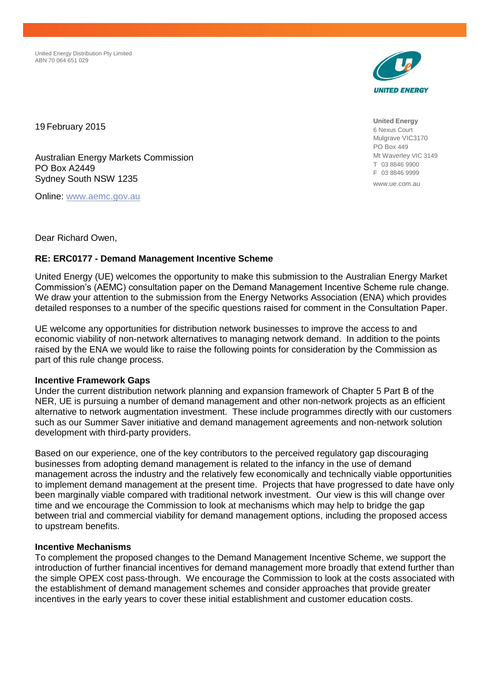United Energy Distribution Pty Limited ABN 70 064 651 029



19 February 2015

Australian Energy Markets Commission PO Box A2449 Sydney South NSW 1235

Online: [www.aemc.gov.au](http://www.aemc.gov.au/)

**United Energy** 6 Nexus Court Mulgrave VIC3170 PO Box 449 Mt Waverley VIC 3149 T 03 8846 9900 F 03 8846 9999 www.ue.com.au

Dear Richard Owen,

## **RE: ERC0177 - Demand Management Incentive Scheme**

United Energy (UE) welcomes the opportunity to make this submission to the Australian Energy Market Commission's (AEMC) consultation paper on the Demand Management Incentive Scheme rule change. We draw your attention to the submission from the Energy Networks Association (ENA) which provides detailed responses to a number of the specific questions raised for comment in the Consultation Paper.

UE welcome any opportunities for distribution network businesses to improve the access to and economic viability of non-network alternatives to managing network demand. In addition to the points raised by the ENA we would like to raise the following points for consideration by the Commission as part of this rule change process.

## **Incentive Framework Gaps**

Under the current distribution network planning and expansion framework of Chapter 5 Part B of the NER, UE is pursuing a number of demand management and other non-network projects as an efficient alternative to network augmentation investment. These include programmes directly with our customers such as our Summer Saver initiative and demand management agreements and non-network solution development with third-party providers.

Based on our experience, one of the key contributors to the perceived regulatory gap discouraging businesses from adopting demand management is related to the infancy in the use of demand management across the industry and the relatively few economically and technically viable opportunities to implement demand management at the present time. Projects that have progressed to date have only been marginally viable compared with traditional network investment. Our view is this will change over time and we encourage the Commission to look at mechanisms which may help to bridge the gap between trial and commercial viability for demand management options, including the proposed access to upstream benefits.

## **Incentive Mechanisms**

To complement the proposed changes to the Demand Management Incentive Scheme, we support the introduction of further financial incentives for demand management more broadly that extend further than the simple OPEX cost pass-through. We encourage the Commission to look at the costs associated with the establishment of demand management schemes and consider approaches that provide greater incentives in the early years to cover these initial establishment and customer education costs.